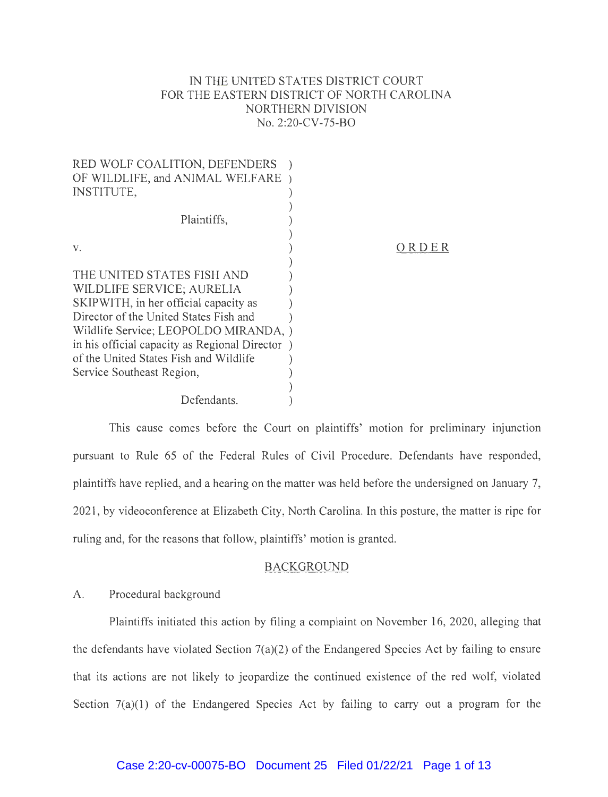# IN THE UNITED STATES DISTRICT COURT FOR THE EASTERN DISTRICT OF NORTH CAROLINA NORTHERN DIVISION No. 2:20-CV-75-BO

| RED WOLF COALITION, DEFENDERS                  |      |
|------------------------------------------------|------|
| OF WILDLIFE, and ANIMAL WELFARE )              |      |
| <b>INSTITUTE,</b>                              |      |
|                                                |      |
| Plaintiffs,                                    |      |
|                                                |      |
| V.                                             | KDEK |
|                                                |      |
| THE UNITED STATES FISH AND                     |      |
| WILDLIFE SERVICE; AURELIA                      |      |
| SKIPWITH, in her official capacity as          |      |
| Director of the United States Fish and         |      |
| Wildlife Service; LEOPOLDO MIRANDA,            |      |
| in his official capacity as Regional Director) |      |
| of the United States Fish and Wildlife         |      |
| Service Southeast Region,                      |      |
|                                                |      |
| Defendants.                                    |      |
|                                                |      |

This cause comes before the Court on plaintiffs' motion for preliminary injunction pursuant to Rule 65 of the Federal Rules of Civil Procedure. Defendants have responded, plaintiffs have replied, and a hearing on the matter was held before the undersigned on January 7, 2021, by videoconference at Elizabeth City, North Carolina. In this posture, the matter is ripe for ruling and, for the reasons that follow, plaintiffs' motion is granted.

## BACKGROUND

## A. Procedural background

Plaintiffs initiated this action by filing a complaint on November 16, 2020, alleging that the defendants have violated Section 7(a)(2) of the Endangered Species Act by failing to ensure that its actions are not likely to jeopardize the continued existence of the red wolf, violated Section 7(a)(1) of the Endangered Species Act by failing to carry out a program for the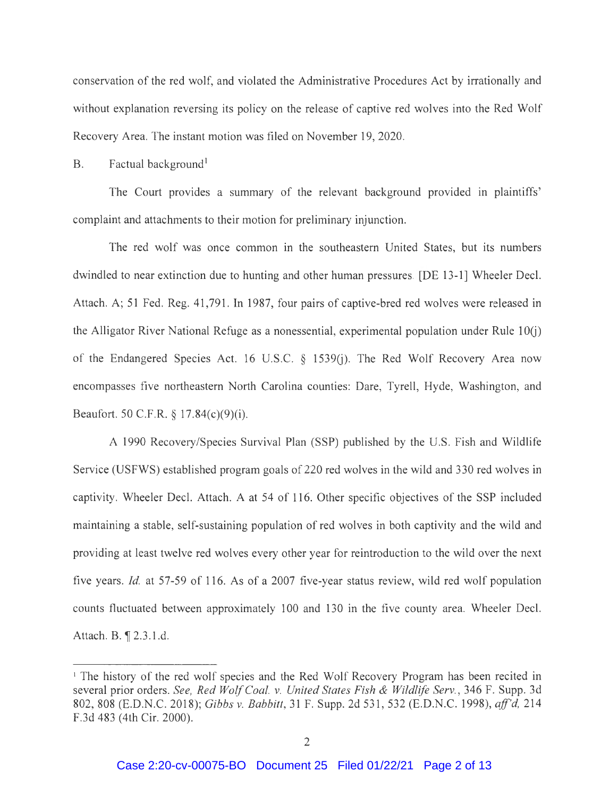conservation of the red wolf, and violated the Administrative Procedures Act by irrationally and without explanation reversing its policy on the release of captive red wolves into the Red Wolf Recovery Area. The instant motion was filed on November 19, 2020.

B. Factual background<sup>1</sup>

The Court provides a summary of the relevant background provided m plaintiffs' complaint and attachments to their motion for preliminary injunction.

The red wolf was once common in the southeastern United States, but its numbers dwindled to near extinction due to hunting and other human pressures. [DE 13-1] Wheeler Deel. Attach. A; 51 Fed. Reg. 41 ,791. In 1987, four pairs of captive-bred red wolves were released in the Alligator River National Refuge as a nonessential, experimental population under Rule  $10(i)$ of the Endangered Species Act. 16 U.S.C. § 1539(j). The Red Wolf Recovery Area now encompasses five northeastern North Carolina counties: Dare, Tyrell, Hyde, Washington, and Beaufort. 50 C.F.R. § 17.84(c)(9)(i).

A 1990 Recovery/Species Survival Plan (SSP) published by the U.S. Fish and Wildlife Service (USFWS) established program goals of 220 red wolves in the wild and 330 red wolves in captivity. Wheeler Decl. Attach. A at 54 of 116. Other specific objectives of the SSP included maintaining a stable, self-sustaining population of red wolves in both captivity and the wild and providing at least twelve red wolves every other year for reintroduction to the wild over the next five years. *Id.* at 57-59 of 116. As of a 2007 five-year status review, wild red wolf population counts fluctuated between approximately 100 and 130 in the five county area. Wheeler Deel. Attach. B. ¶ 2.3.1.d.

<sup>&</sup>lt;sup>1</sup> The history of the red wolf species and the Red Wolf Recovery Program has been recited in several prior orders. *See, Red Wolf Coal. v. United States Fish & Wildlife Serv. ,* 346 F. Supp. 3d 802, 808 (E.D.N.C. 2018); *Gibbs v. Babbitt,* 31 F. Supp. 2d 531 , 532 (E.D.N.C. 1998), *aff'd,* 214 F.3d 483 (4th Cir. 2000).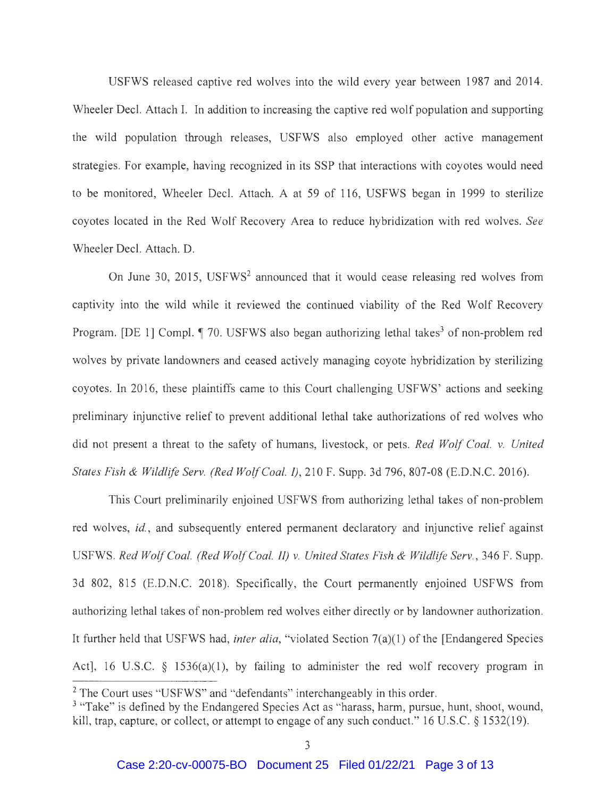USFWS released captive red wolves into the wild every year between 1987 and 2014. Wheeler Decl. Attach I. In addition to increasing the captive red wolf population and supporting the wild population through releases, USFWS also employed other active management strategies. For example, having recognized in its SSP that interactions with coyotes would need to be monitored, Wheeler Deel. Attach. A at 59 of 116, USFWS began in 1999 to sterilize coyotes located in the Red Wolf Recovery Area to reduce hybridization with red wolves. *See*  Wheeler Deel. Attach. D.

On June 30, 2015, USFWS<sup>2</sup> announced that it would cease releasing red wolves from captivity into the wild while it reviewed the continued viability of the Red Wolf Recovery Program. [DE 1] Compl.  $\llbracket$  70. USFWS also began authorizing lethal takes<sup>3</sup> of non-problem red wolves by private landowners and ceased actively managing coyote hybridization by sterilizing coyotes. In 2016, these plaintiffs came to this Court challenging USFWS' actions and seeking preliminary injunctive relief to prevent additional lethal take authorizations of red wolves who did not present a threat to the safety of humans, livestock, or pets. *Red Wolf Coal. v. United States Fish & Wildlife Serv. (Red Wolf Coal.* I), 210 F. Supp. 3d 796, 807-08 (E.D.N.C. 2016).

This Court preliminarily enjoined USFWS from authorizing lethal takes of non-problem red wolves, id., and subsequently entered permanent declaratory and injunctive relief against USFWS. *Red Wolf Coal. (Red Wolf Coal. II) v. United States Fish & Wildlife Serv.,* 346 F. Supp. 3d 802, 815 (E.D.N.C. 2018). Specifically, the Court permanently enjoined USFWS from authorizing lethal takes of non-problem red wolves either directly or by landowner authorization. It further held that USFWS had, *inter alia,* "violated Section 7(a)(l) of the [Endangered Species Act], 16 U.S.C.  $\S$  1536(a)(1), by failing to administer the red wolf recovery program in

<sup>&</sup>lt;sup>2</sup> The Court uses "USFWS" and "defendants" interchangeably in this order.

<sup>&</sup>lt;sup>3</sup> "Take" is defined by the Endangered Species Act as "harass, harm, pursue, hunt, shoot, wound, kill, trap, capture, or collect, or attempt to engage of any such conduct." 16 U.S.C. § 1532(19).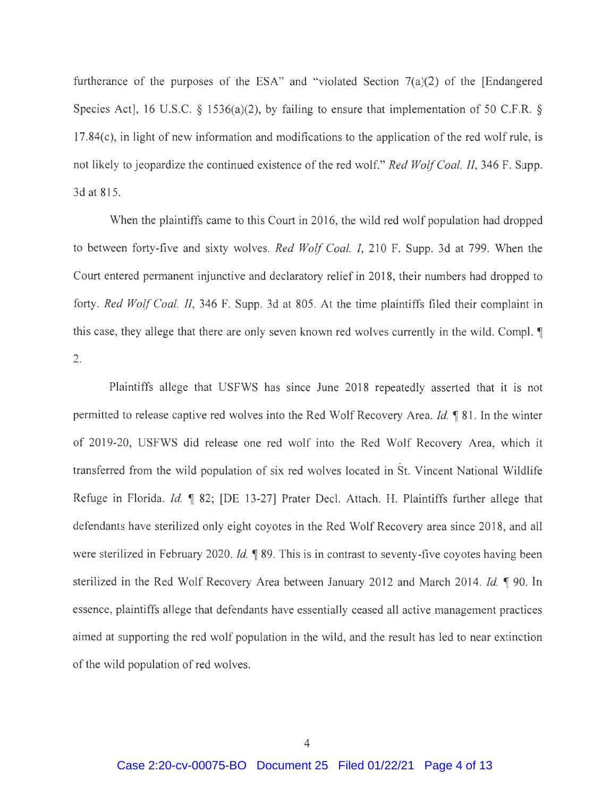furtherance of the purposes of the ESA" and "violated Section  $7(a)(2)$  of the [Endangered Species Act], 16 U.S.C. § 1536(a)(2), by failing to ensure that implementation of 50 C.F.R. § 17.84(c), in light of new information and modifications to the application of the red wolf rule, is not likely to jeopardize the continued existence of the red wolf." *Red Wolf Coal. II,* 346 F. Supp. 3dat815.

When the plaintiffs came to this Court in 2016, the wild red wolf population had dropped to between forty-five and sixty wolves. *Red Wolf Coal. I,* 210 F. Supp. 3d at 799. When the Court entered permanent injunctive and declaratory relief in 2018, their numbers had dropped to forty. *Red Wolf Coal. II,* 346 F. Supp. 3d at 805 . At the time plaintiffs filed their complaint in this case, they allege that there are only seven known red wolves currently in the wild. Compl.  $\P$ 2.

Plaintiffs allege that USFWS has since June 2018 repeatedly asserted that it is not permitted to release captive red wolves into the Red Wolf Recovery Area. *Id.* 181. In the winter of 2019-20, USFWS did release one red wolf into the Red Wolf Recovery Area, which it transferred from the wild population of six red wolves located in St. Vincent National Wildlife Refuge in Florida. *Id.*  $\parallel$  82; [DE 13-27] Prater Decl. Attach. H. Plaintiffs further allege that defendants have sterilized only eight coyotes in the Red Wolf Recovery area since 2018, and all were sterilized in February 2020. *Id.*  $\parallel$  89. This is in contrast to seventy-five coyotes having been sterilized in the Red Wolf Recovery Area between January 2012 and March 2014. *Id.*  $\sqrt{999}$ . In essence, plaintiffs allege that defendants have essentially ceased all active management practices aimed at supporting the red wolf population in the wild, and the result has led to near extinction of the wild population of red wolves.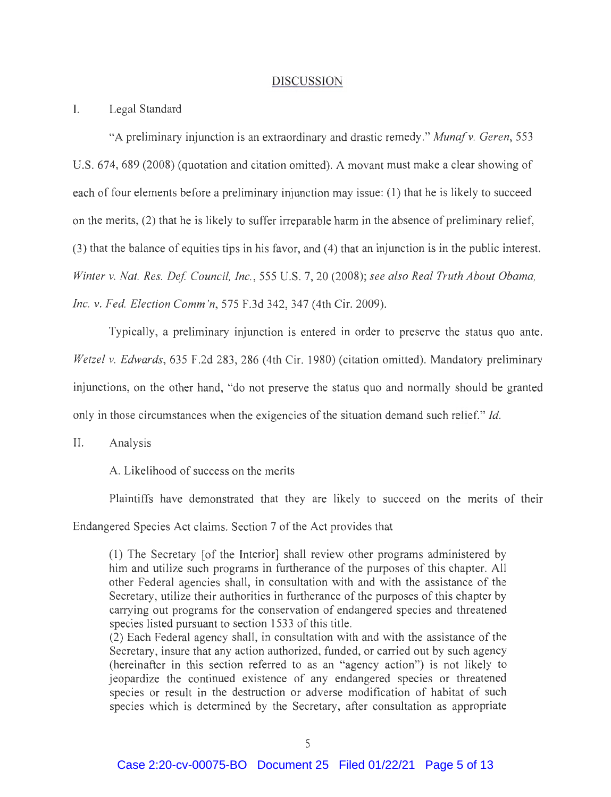#### DISCUSSION

#### I. Legal Standard

"A preliminary injunction is an extraordinary and drastic remedy. " *Muna/ v. Geren,* 553 U.S. 674, 689 (2008) (quotation and citation omitted). A movant must make a clear showing of each of four elements before a preliminary injunction may issue: (1) that he is likely to succeed on the merits, (2) that he is likely to suffer irreparable harm in the absence of preliminary relief, (3) that the balance of equities tips in his favor, and ( 4) that an injunction is in the public interest. *Winter v. Nat. Res. Def Council, Inc.,* 555 U.S. 7, 20 (2008); *see also Real Truth About Obama, Inc. v. Fed. Election Comm 'n,* 575 F.3d 342, 347 (4th Cir. 2009).

Typically, a preliminary injunction is entered in order to preserve the status quo ante. *Wetzel v. Edwards,* 635 F.2d 283, 286 (4th Cir. 1980) (citation omitted). Mandatory preliminary injunctions, on the other hand, "do not preserve the status quo and normally should be granted only in those circumstances when the exigencies of the situation demand such relief. " *Id.* 

II. Analysis

A. Likelihood of success on the merits

Plaintiffs have demonstrated that they are likely to succeed on the merits of their

Endangered Species Act claims. Section 7 of the Act provides that

(1) The Secretary [of the Interior] shall review other programs administered by him and utilize such programs in furtherance of the purposes of this chapter. All other Federal agencies shall, in consultation with and with the assistance of the Secretary, utilize their authorities in furtherance of the purposes of this chapter by carrying out programs for the conservation of endangered species and threatened species listed pursuant to section 1533 of this title.

(2) Each Federal agency shall, in consultation with and with the assistance of the Secretary, insure that any action authorized, funded, or carried out by such agency (hereinafter in this section referred to as an "agency action") is not likely to jeopardize the continued existence of any endangered species or threatened species or result in the destruction or adverse modification of habitat of such species which is determined by the Secretary, after consultation as appropriate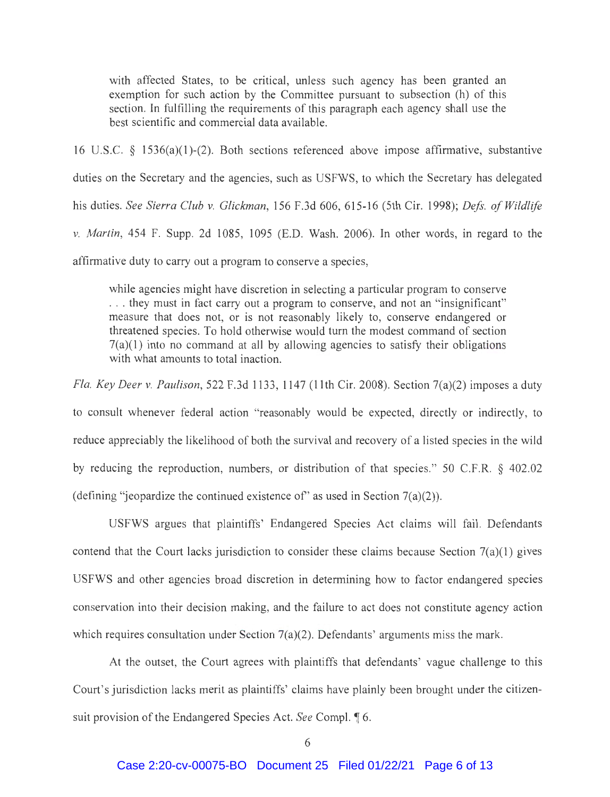with affected States, to be critical, unless such agency has been granted an exemption for such action by the Committee pursuant to subsection (h) of this section. In fulfilling the requirements of this paragraph each agency shall use the best scientific and commercial data available.

16 U.S.C. § 1536(a)(l)-(2). Both sections referenced above impose affirmative, substantive duties on the Secretary and the agencies, such as USFWS, to which the Secretary has delegated his duties. *See Sierra Club v. Glickman,* 156 F.3d 606, 615-16 (5th Cir. 1998); *Defs. of Wildlife v. Martin,* 454 F. Supp. 2d 1085, 1095 (E.D. Wash. 2006). In other words, in regard to the affirmative duty to carry out a program to conserve a species,

while agencies might have discretion in selecting a particular program to conserve . .. they must in fact carry out a program to conserve, and not an "insignificant" measure that does not, or is not reasonably likely to, conserve endangered or

threatened species. To hold otherwise would turn the modest command of section 7(a)(l) into no command at all by allowing agencies to satisfy their obligations with what amounts to total inaction.

*Fla. Key Deer v. Paulison,* 522 F.3d 1133, 1147 (11th Cir. 2008). Section 7(a)(2) imposes a duty to consult whenever federal action "reasonably would be expected, directly or indirectly, to reduce appreciably the likelihood of both the survival and recovery of a listed species in the wild by reducing the reproduction, numbers, or distribution of that species." 50 C.F.R. § 402.02 (defining "jeopardize the continued existence of" as used in Section  $7(a)(2)$ ).

USFWS argues that plaintiffs' Endangered Species Act claims will fail. Defendants contend that the Court lacks jurisdiction to consider these claims because Section  $7(a)(1)$  gives USFWS and other agencies broad discretion in determining how to factor endangered species conservation into their decision making, and the failure to act does not constitute agency action which requires consultation under Section  $7(a)(2)$ . Defendants' arguments miss the mark.

At the outset, the Court agrees with plaintiffs that defendants' vague challenge to this Court's jurisdiction lacks merit as plaintiffs' claims have plainly been brought under the citizensuit provision of the Endangered Species Act. *See* Compl. 16.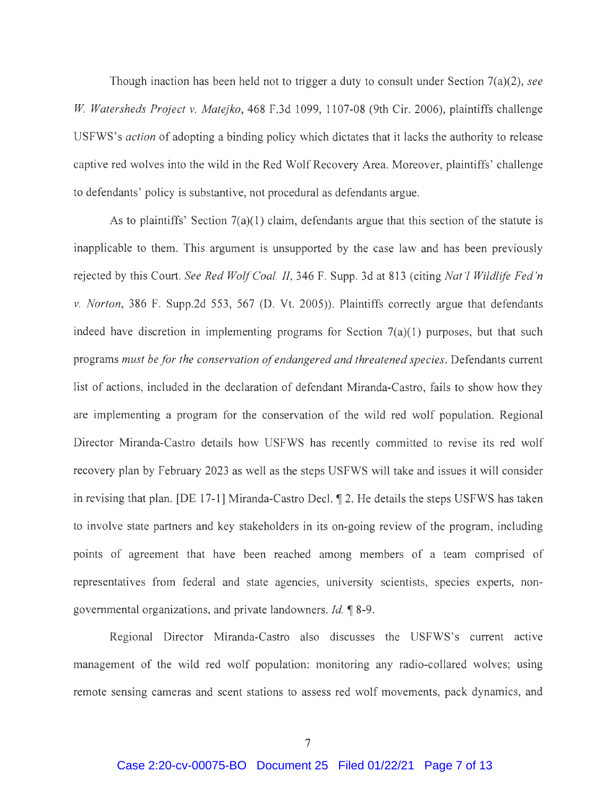Though inaction has been held not to trigger a duty to consult under Section 7(a)(2), *see W Watersheds Project v. Matejka,* 468 F.3d 1099, 1107-08 (9th Cir. 2006), plaintiffs challenge USFWS's *action* of adopting a binding policy which dictates that it lacks the authority to release captive red wolves into the wild in the Red Wolf Recovery Area. Moreover, plaintiffs' challenge to defendants' policy is substantive, not procedural as defendants argue.

As to plaintiffs' Section  $7(a)(1)$  claim, defendants argue that this section of the statute is inapplicable to them. This argument is unsupported by the case law and has been previously rejected by this Court. *See Red Wolf Coal. II,* 346 F. Supp. 3d at 813 (citing *Nat 'l Wildlife Fed 'n v. Norton,* 386 F. Supp.2d 553, 567 (D. Vt. 2005)). Plaintiffs correctly argue that defendants indeed have discretion in implementing programs for Section  $7(a)(1)$  purposes, but that such programs *must be for the conservation of endangered and threatened species.* Defendants current list of actions, included in the declaration of defendant Miranda-Castro, fails to show how they are implementing a program for the conservation of the wild red wolf population. Regional Director Miranda-Castro details how USFWS has recently committed to revise its red wolf recovery plan by February 2023 as well as the steps USFWS will take and issues it will consider in revising that plan. [DE 17-1] Miranda-Castro Decl.  $\P$  2. He details the steps USFWS has taken to involve state partners and key stakeholders in its on-going review of the program, including points of agreement that have been reached among members of a team comprised of representatives from federal and state agencies, university scientists, species experts, nongovernmental organizations, and private landowners. *Id.* 18-9.

Regional Director Miranda-Castro also discusses the USFWS's current active management of the wild red wolf population: monitoring any radio-collared wolves; using remote sensing cameras and scent stations to assess red wolf movements, pack dynamics, and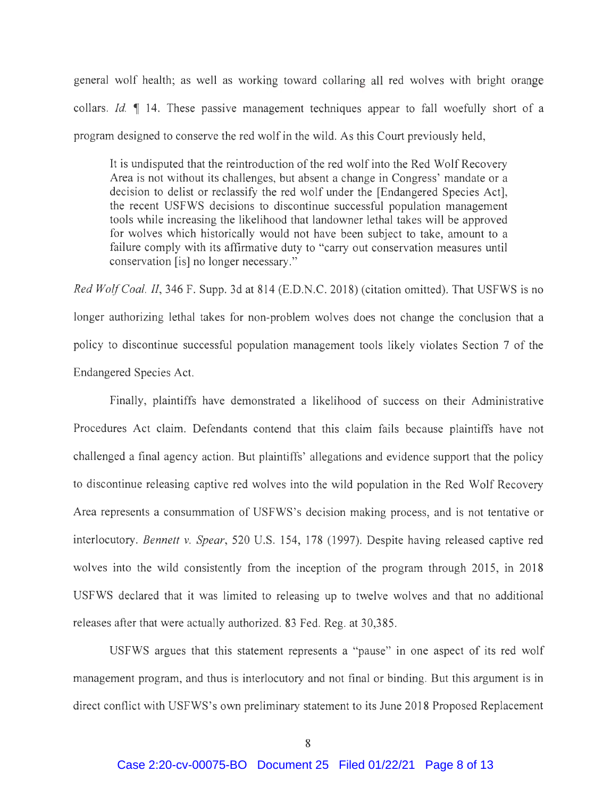general wolf health; as well as working toward collaring all red wolves with bright orange collars. *Id.* 1 14. These passive management techniques appear to fall woefully short of a program designed to conserve the red wolf in the wild. As this Court previously held,

It is undisputed that the reintroduction of the red wolf into the Red Wolf Recovery Area is not without its challenges, but absent a change in Congress' mandate or a decision to delist or reclassify the red wolf under the [Endangered Species Act], the recent USFWS decisions to discontinue successful population management tools while increasing the likelihood that landowner lethal takes will be approved for wolves which historically would not have been subject to take, amount to a failure comply with its affirmative duty to "carry out conservation measures until conservation [is] no longer necessary."

*Red Wolf Coal. II,* 346 F. Supp. 3d at 814 (E.D.N.C. 2018) (citation omitted). That USFWS is no longer authorizing lethal takes for non-problem wolves does not change the conclusion that a policy to discontinue successful population management tools likely violates Section 7 of the Endangered Species Act.

Finally, plaintiffs have demonstrated a likelihood of success on their Administrative Procedures Act claim. Defendants contend that this claim fails because plaintiffs have not challenged a final agency action. But plaintiffs' allegations and evidence support that the policy to discontinue releasing captive red wolves into the wild population in the Red Wolf Recovery Area represents a consummation of USFWS's decision making process, and is not tentative or interlocutory. *Bennett v. Spear,* 520 U.S. 154, 178 (1997). Despite having released captive red wolves into the wild consistently from the inception of the program through 2015, in 2018 USFWS declared that it was limited to releasing up to twelve wolves and that no additional releases after that were actually authorized. 83 Fed. Reg. at 30,385 .

USFWS argues that this statement represents a "pause" in one aspect of its red wolf management program, and thus is interlocutory and not final or binding. But this argument is in direct conflict with USFWS's own preliminary statement to its June 2018 Proposed Replacement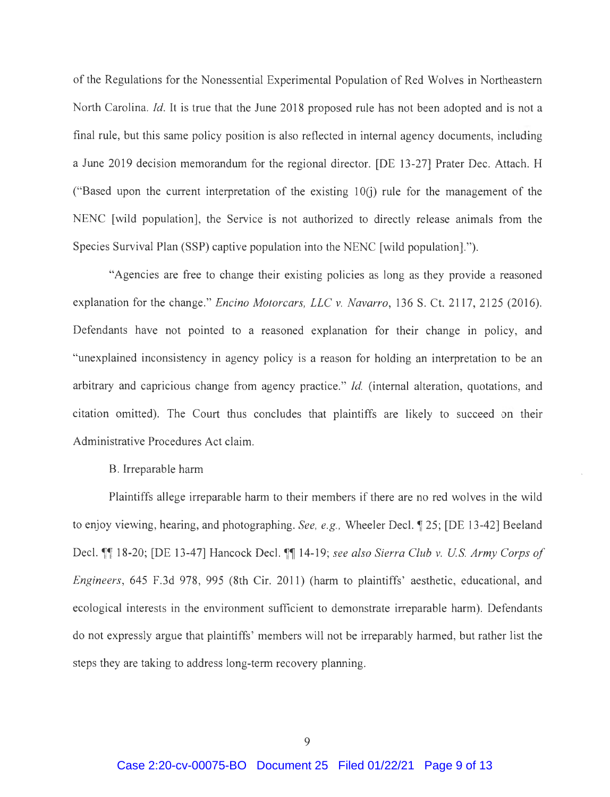of the Regulations for the Nonessential Experimental Population of Red Wolves in Northeastern North Carolina. *Id.* It is true that the June 2018 proposed rule has not been adopted and is not a final rule, but this same policy position is also reflected in internal agency documents, including a June 2019 decision memorandum for the regional director. [DE 13-27] Prater Dec. Attach. H ("Based upon the current interpretation of the existing  $10(i)$  rule for the management of the NENC [wild population], the Service is not authorized to directly release animals from the Species Survival Plan (SSP) captive population into the NENC [wild population].").

"Agencies are free to change their existing policies as long as they provide a reasoned explanation for the change." *Encino Motorcars, LLC v. Navarro,* 136 S. Ct. 2117, 2125 (2016). Defendants have not pointed to a reasoned explanation for their change in policy, and "unexplained inconsistency in agency policy is a reason for holding an interpretation to be an arbitrary and capricious change from agency practice." *Id.* (internal alteration, quotations, and citation omitted). The Court thus concludes that plaintiffs are likely to succeed on their Administrative Procedures Act claim.

### B. Irreparable harm

Plaintiffs allege irreparable harm to their members if there are no red wolves in the wild to enjoy viewing, hearing, and photographing. *See, e.g.*, Wheeler Decl.  $\parallel$  25; [DE 13-42] Beeland Decl.  $\llbracket \llbracket$  18-20; [DE 13-47] Hancock Decl.  $\llbracket \llbracket$  14-19; *see also Sierra Club v. U.S. Army Corps of Engineers,* 645 F.3d 978, 995 (8th Cir. 2011) (harm to plaintiffs' aesthetic, educational, and ecological interests in the environment sufficient to demonstrate irreparable harm). Defendants do not expressly argue that plaintiffs' members will not be irreparably harmed, but rather list the steps they are taking to address long-term recovery planning.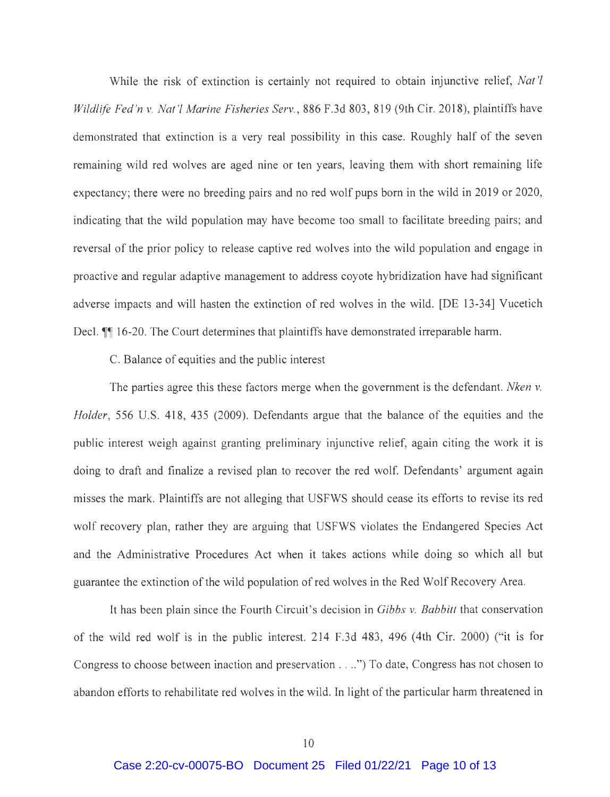While the risk of extinction is certainly not required to obtain injunctive relief, *Nat'! Wildlife Fed 'n v. Nat'! Marine Fisheries Serv.,* 886 F.3d 803, 819 (9th Cir. 2018), plaintiffs have demonstrated that extinction is a very real possibility in this case. Roughly half of the seven remaining wild red wolves are aged nine or ten years, leaving them with short remaining life expectancy; there were no breeding pairs and no red wolf pups born in the wild in 2019 or 2020, indicating that the wild population may have become too small to facilitate breeding pairs; and reversal of the prior policy to release captive red wolves into the wild population and engage in proactive and regular adaptive management to address coyote hybridization have had significant adverse impacts and will hasten the extinction of red wolves in the wild. [DE 13-34] Vucetich Decl. **1** 16-20. The Court determines that plaintiffs have demonstrated irreparable harm.

C. Balance of equities and the public interest

The parties agree this these factors merge when the government is the defendant. *Nken v. Holder,* 556 U.S. 418, 435 (2009). Defendants argue that the balance of the equities and the public interest weigh against granting preliminary injunctive relief, again citing the work it is doing to draft and finalize a revised plan to recover the red wolf. Defendants' argument again misses the mark. Plaintiffs are not alleging that USFWS should cease its efforts to revise its red wolf recovery plan, rather they are arguing that USFWS violates the Endangered Species Act and the Administrative Procedures Act when it takes actions while doing so which all but guarantee the extinction of the wild population of red wolves in the Red Wolf Recovery Area.

It has been plain since the Fourth Circuit's decision in *Gibbs v. Babbitt* that conservation of the wild red wolf is in the public interest. 214 F.3d 483, 496 (4th Cir. 2000) ("it is for Congress to choose between inaction and preservation .... ") To date, Congress has not chosen to abandon efforts to rehabilitate red wolves in the wild. In light of the particular harm threatened in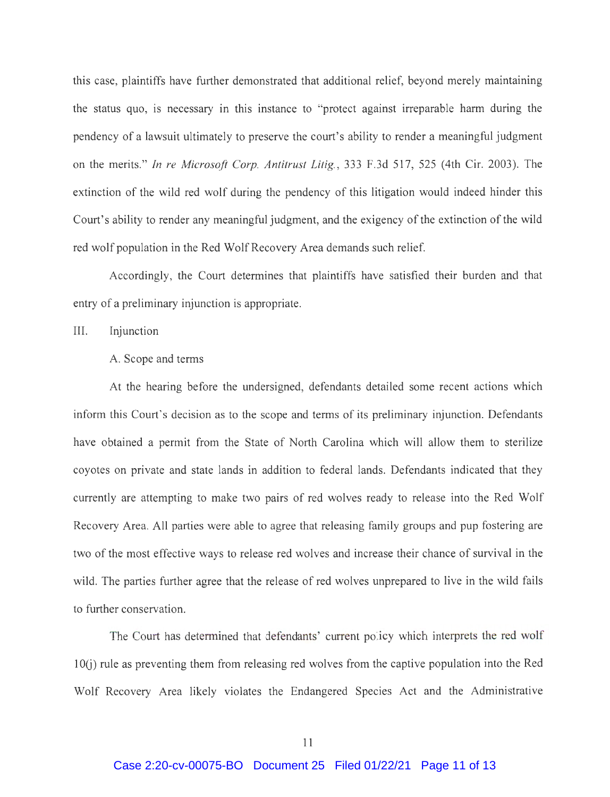this case, plaintiffs have further demonstrated that additional relief, beyond merely maintaining the status quo, is necessary in this instance to "protect against irreparable harm during the pendency of a lawsuit ultimately to preserve the court's ability to render a meaningful judgment on the merits." *In re Microsoft Corp. Antitrust Litig. ,* 333 F.3d 517, 525 (4th Cir. 2003). The extinction of the wild red wolf during the pendency of this litigation would indeed hinder this Court's ability to render any meaningful judgment, and the exigency of the extinction of the wild red wolf population in the Red Wolf Recovery Area demands such relief.

Accordingly, the Court determines that plaintiffs have satisfied their burden and that entry of a preliminary injunction is appropriate.

III. Injunction

## A. Scope and terms

At the hearing before the undersigned, defendants detailed some recent actions which inform this Court's decision as to the scope and terms of its preliminary injunction. Defendants have obtained a permit from the State of North Carolina which will allow them to sterilize coyotes on private and state lands in addition to federal lands. Defendants indicated that they currently are attempting to make two pairs of red wolves ready to release into the Red Wolf Recovery Area. All parties were able to agree that releasing family groups and pup fostering are two of the most effective ways to release red wolves and increase their chance of survival in the wild. The parties further agree that the release of red wolves unprepared to live in the wild fails to further conservation.

The Court has determined that defendants' current policy which interprets the red wolf 1 0(i) rule as preventing them from releasing red wolves from the captive population into the Red Wolf Recovery Area likely violates the Endangered Species Act and the Administrative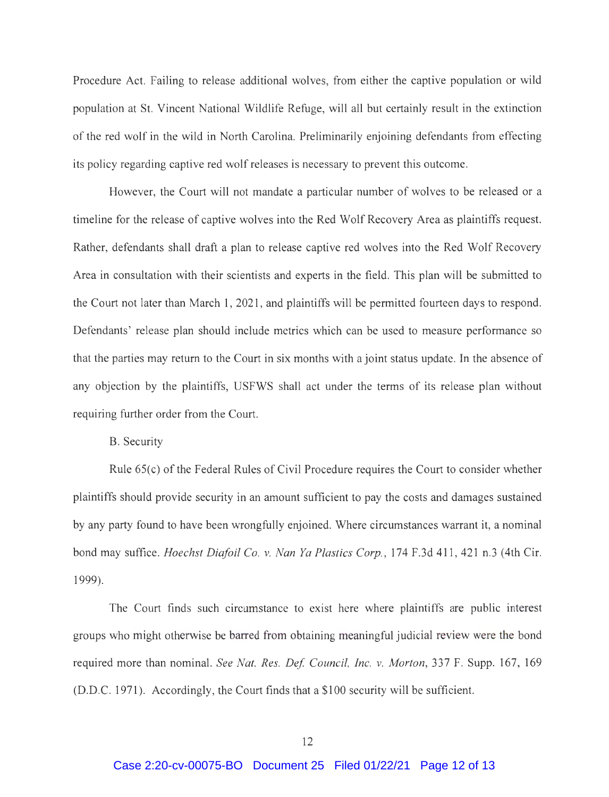Procedure Act. Failing to release additional wolves, from either the captive population or wild population at St. Vincent National Wildlife Refuge, will all but certainly result in the extinction of the red wolf in the wild in North Carolina. Preliminarily enjoining defendants from effecting its policy regarding captive red wolf releases is necessary to prevent this outcome.

However, the Court will not mandate a particular number of wolves to be released or a timeline for the release of captive wolves into the Red Wolf Recovery Area as plaintiffs request. Rather, defendants shall draft a plan to release captive red wolves into the Red Wolf Recovery Area in consultation with their scientists and experts in the field. This plan will be submitted to the Court not later than March 1, 2021 , and plaintiffs will be permitted fourteen days to respond. Defendants' release plan should include metrics which can be used to measure performance so that the parties may return to the Court in six months with a joint status update. In the absence of any objection by the plaintiffs, USFWS shall act under the terms of its release plan without requiring further order from the Court.

B. Security

Rule 65(c) of the Federal Rules of Civil Procedure requires the Court to consider whether plaintiffs should provide security in an amount sufficient to pay the costs and damages sustained by any party found to have been wrongfully enjoined. Where circumstances warrant it, a nominal bond may suffice. *Hoechst Dia/oil Co. v. Nan Ya Plastics Corp. ,* 174 F.3d 411 , 421 n.3 ( 4th Cir. 1999).

The Court finds such circumstance to exist here where plaintiffs are public interest groups who might otherwise be barred from obtaining meaningful judicial review were the bond required more than nominal. *See Nat. Res. Def. Council, Inc. v. Morton*, 337 F. Supp. 167, 169 (D.D.C. 1971). Accordingly, the Court finds that a \$100 security will be sufficient.